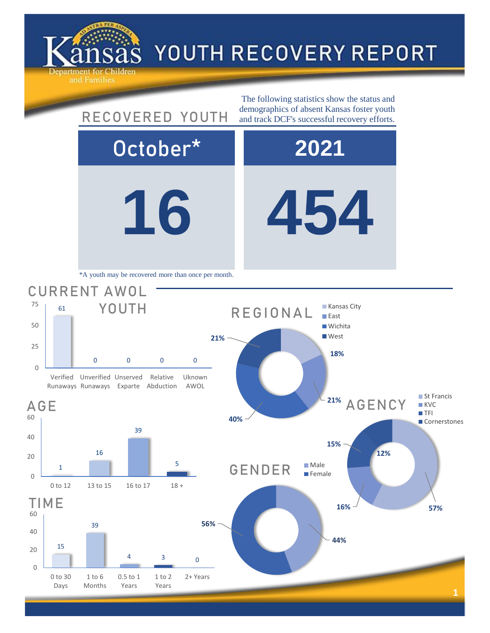

## YOUTH RECOVERY REPORT

**16 454** October\* **2021** GENDER Male **Female 15% 12%** AGENCY 1 16 39 5 0 to 12 13 to 15 16 to 17 18 + 61 0 0 0 0 Verified Unverified Unserved Runaways Runaways Exparte Abduction Relative Uknown AWOL CURRENT AWOL YOUTH The following statistics show the status and RECOVERED YOUTH demographics of absent Kansas foster youth and track DCF's successful recovery efforts. \*A youth may be recovered more than once per month. **18% 21% 40% 21%** REGIONAL **Kansas City East Wichita West** 



0

20

40

60

AGE

0

25

50

75